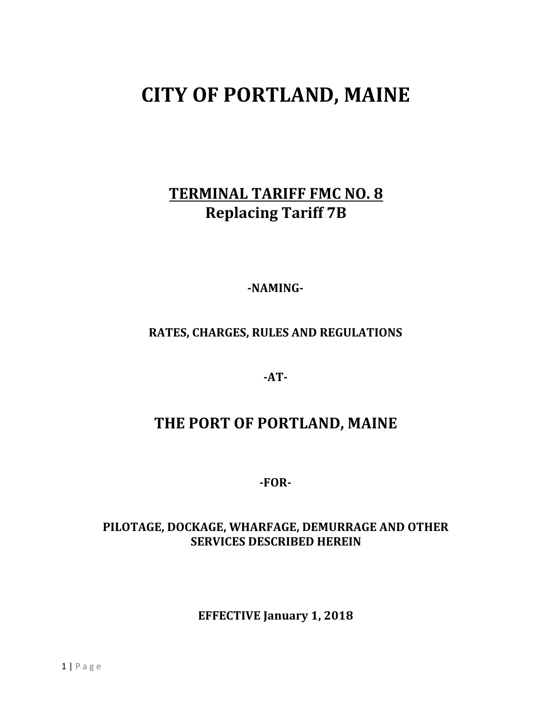# **CITY OF PORTLAND, MAINE**

# **TERMINAL TARIFF FMC NO. 8 Replacing Tariff 7B**

**-NAMING-**

# **RATES, CHARGES, RULES AND REGULATIONS**

**-AT-**

# **THE PORT OF PORTLAND, MAINE**

**-FOR-**

## **PILOTAGE, DOCKAGE, WHARFAGE, DEMURRAGE AND OTHER SERVICES DESCRIBED HEREIN**

**EFFECTIVE January 1, 2018**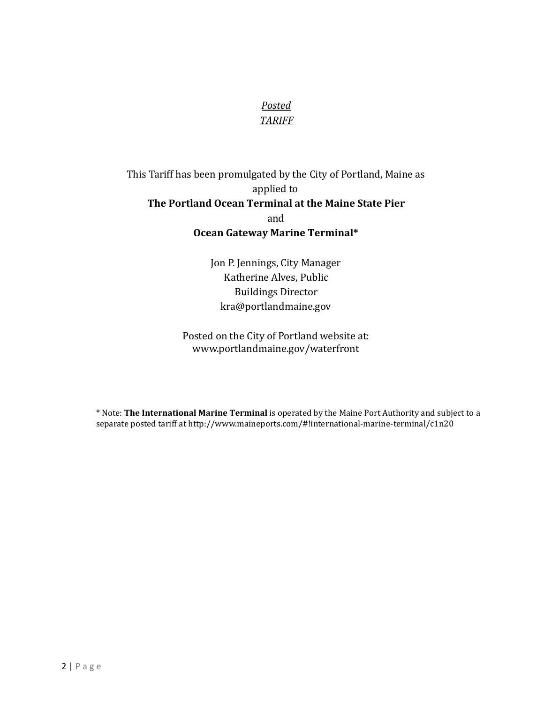## *Posted TARIFF*

## This Tariff has been promulgated by the City of Portland, Maine as applied to **The Portland Ocean Terminal at the Maine State Pier** and **Ocean Gateway Marine Terminal\***

Jon P. Jennings, City Manager Katherine Alves, Public Buildings Director [kra@portlandmaine.gov](mailto:kra@portlandmaine.gov)

Posted on the City of Portland website at: [www.portlandmaine.gov/waterfront](http://www.portlandmaine.gov/waterfront)

\* Note: **The International Marine Terminal** is operated by the Maine Port Authority and subject to a separate posted tariff at [http://www.maineports.com/#!international-marine-terminal/c1n20](http://www.maineports.com/%23!international-marine-terminal/c1n20)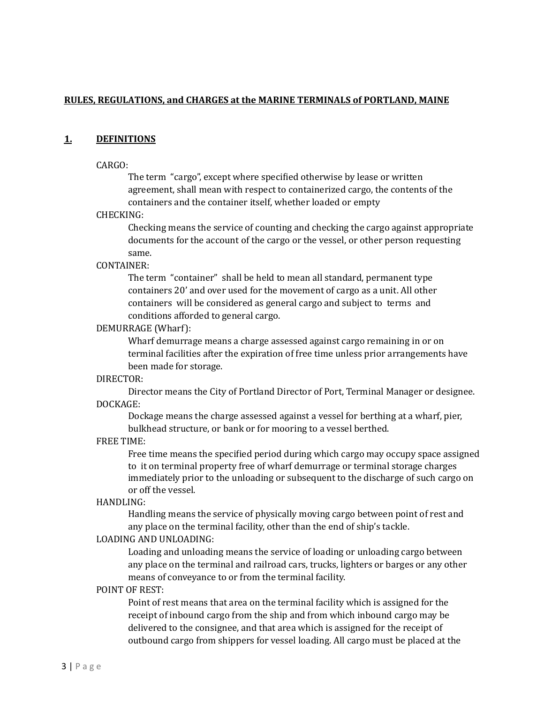#### **RULES, REGULATIONS, and CHARGES at the MARINE TERMINALS of PORTLAND, MAINE**

#### **1. DEFINITIONS**

#### CARGO:

The term "cargo", except where specified otherwise by lease or written agreement, shall mean with respect to containerized cargo, the contents of the containers and the container itself, whether loaded or empty

#### CHECKING:

Checking means the service of counting and checking the cargo against appropriate documents for the account of the cargo or the vessel, or other person requesting same.

#### CONTAINER:

The term "container" shall be held to mean all standard, permanent type containers 20' and over used for the movement of cargo as a unit. All other containers will be considered as general cargo and subject to terms and conditions afforded to general cargo.

#### DEMURRAGE (Wharf):

Wharf demurrage means a charge assessed against cargo remaining in or on terminal facilities after the expiration of free time unless prior arrangements have been made for storage.

#### DIRECTOR:

Director means the City of Portland Director of Port, Terminal Manager or designee. DOCKAGE:

Dockage means the charge assessed against a vessel for berthing at a wharf, pier, bulkhead structure, or bank or for mooring to a vessel berthed.

#### FREE TIME:

Free time means the speciied period during which cargo may occupy space assigned to it on terminal property free of wharf demurrage or terminal storage charges immediately prior to the unloading or subsequent to the discharge of such cargo on or off the vessel.

#### HANDLING:

Handling means the service of physically moving cargo between point of rest and any place on the terminal facility, other than the end of ship's tackle.

#### LOADING AND UNLOADING:

Loading and unloading means the service of loading or unloading cargo between any place on the terminal and railroad cars, trucks, lighters or barges or any other means of conveyance to or from the terminal facility.

#### POINT OF REST:

Point of rest means that area on the terminal facility which is assigned for the receipt of inbound cargo from the ship and from which inbound cargo may be delivered to the consignee, and that area which is assigned for the receipt of outbound cargo from shippers for vessel loading. All cargo must be placed at the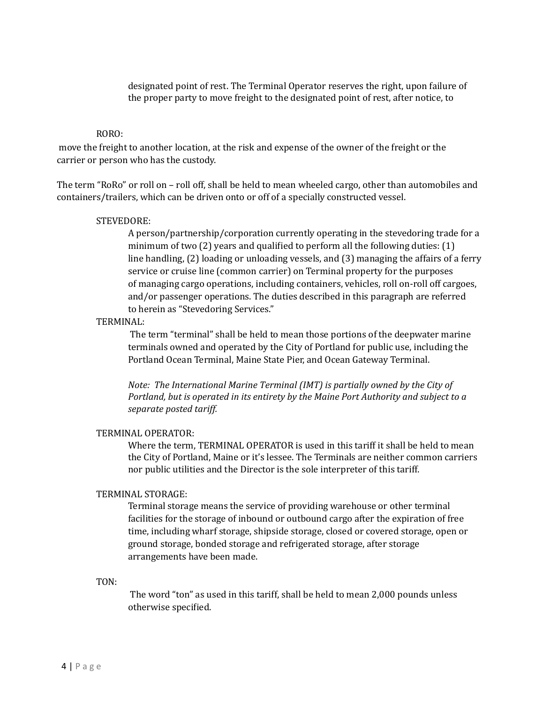designated point of rest. The Terminal Operator reserves the right, upon failure of the proper party to move freight to the designated point of rest, after notice, to

#### RORO:

move the freight to another location, at the risk and expense of the owner of the freight or the carrier or person who has the custody.

The term "RoRo" or roll on – roll off, shall be held to mean wheeled cargo, other than automobiles and containers/trailers, which can be driven onto or off of a specially constructed vessel.

#### STEVEDORE:

A person/partnership/corporation currently operating in the stevedoring trade for a minimum of two  $(2)$  years and qualified to perform all the following duties:  $(1)$ line handling, (2) loading or unloading vessels, and (3) managing the affairs of a ferry service or cruise line (common carrier) on Terminal property for the purposes of managing cargo operations, including containers, vehicles, roll on-roll off cargoes, and/or passenger operations. The duties described in this paragraph are referred to herein as "Stevedoring Services."

#### TERMINAL:

The term "terminal" shall be held to mean those portions of the deepwater marine terminals owned and operated by the City of Portland for public use, including the Portland Ocean Terminal, Maine State Pier, and Ocean Gateway Terminal.

*Note: The International Marine Terminal (IMT) is partially owned by the City of Portland, but is operated in its entirety by the Maine Port Authority and subject to a separate posted tarif .*

#### TERMINAL OPERATOR:

Where the term, TERMINAL OPERATOR is used in this tariff it shall be held to mean the City of Portland, Maine or it's lessee. The Terminals are neither common carriers nor public utilities and the Director is the sole interpreter of this tariff.

#### TERMINAL STORAGE:

Terminal storage means the service of providing warehouse or other terminal facilities for the storage of inbound or outbound cargo after the expiration of free time, including wharf storage, shipside storage, closed or covered storage, open or ground storage, bonded storage and refrigerated storage, after storage arrangements have been made.

#### TON:

The word "ton" as used in this tariff, shall be held to mean 2,000 pounds unless otherwise specified.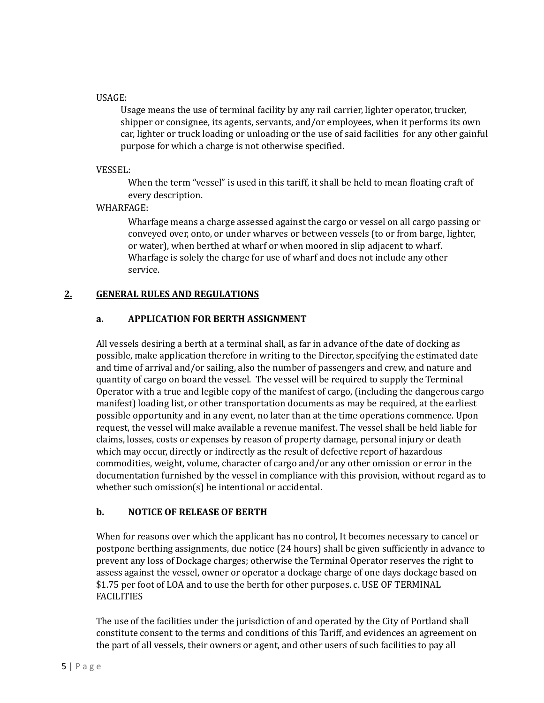#### USAGE:

Usage means the use of terminal facility by any rail carrier, lighter operator, trucker, shipper or consignee, its agents, servants, and/or employees, when it performs its own car, lighter or truck loading or unloading or the use of said facilities for any other gainful purpose for which a charge is not otherwise specified.

VESSEL:

When the term "vessel" is used in this tariff, it shall be held to mean floating craft of every description.

#### WHARFAGE:

Wharfage means a charge assessed against the cargo or vessel on all cargo passing or conveyed over, onto, or under wharves or between vessels (to or from barge, lighter, or water), when berthed at wharf or when moored in slip adjacent to wharf. Wharfage is solely the charge for use of wharf and does not include any other service.

#### **2. GENERAL RULES AND REGULATIONS**

#### **a. APPLICATION FOR BERTH ASSIGNMENT**

All vessels desiring a berth at a terminal shall, as far in advance of the date of docking as possible, make application therefore in writing to the Director, specifying the estimated date and time of arrival and/or sailing, also the number of passengers and crew, and nature and quantity of cargo on board the vessel. The vessel will be required to supply the Terminal Operator with a true and legible copy of the manifest of cargo, (including the dangerous cargo manifest) loading list, or other transportation documents as may be required, at the earliest possible opportunity and in any event, no later than at the time operations commence. Upon request, the vessel will make available a revenue manifest. The vessel shall be held liable for claims, losses, costs or expenses by reason of property damage, personal injury or death which may occur, directly or indirectly as the result of defective report of hazardous commodities, weight, volume, character of cargo and/or any other omission or error in the documentation furnished by the vessel in compliance with this provision, without regard as to whether such omission(s) be intentional or accidental.

#### **b. NOTICE OF RELEASE OF BERTH**

When for reasons over which the applicant has no control, It becomes necessary to cancel or postpone berthing assignments, due notice (24 hours) shall be given suficiently in advance to prevent any loss of Dockage charges; otherwise the Terminal Operator reserves the right to assess against the vessel, owner or operator a dockage charge of one days dockage based on \$1.75 per foot of LOA and to use the berth for other purposes. c. USE OF TERMINAL FACILITIES

The use of the facilities under the jurisdiction of and operated by the City of Portland shall constitute consent to the terms and conditions of this Tariff, and evidences an agreement on the part of all vessels, their owners or agent, and other users of such facilities to pay all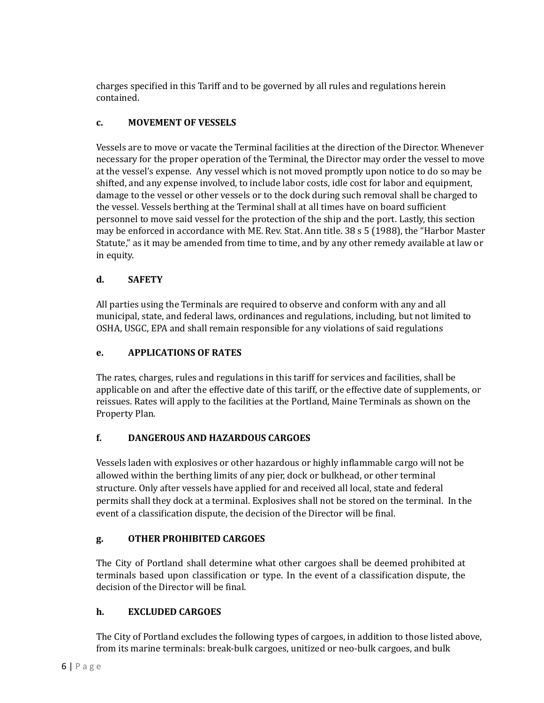charges speciied in this Tariff and to be governed by all rules and regulations herein contained.

## **c. MOVEMENT OF VESSELS**

Vessels are to move or vacate the Terminal facilities at the direction of the Director. Whenever necessary for the proper operation of the Terminal, the Director may order the vessel to move at the vessel's expense. Any vessel which is not moved promptly upon notice to do so may be shifted, and any expense involved, to include labor costs, idle cost for labor and equipment, damage to the vessel or other vessels or to the dock during such removal shall be charged to the vessel. Vessels berthing at the Terminal shall at all times have on board suficient personnel to move said vessel for the protection of the ship and the port. Lastly, this section may be enforced in accordance with ME. Rev. Stat. Ann title. 38 s 5 (1988), the "Harbor Master Statute," as it may be amended from time to time, and by any other remedy available at law or in equity.

## **d. SAFETY**

All parties using the Terminals are required to observe and conform with any and all municipal, state, and federal laws, ordinances and regulations, including, but not limited to OSHA, USGC, EPA and shall remain responsible for any violations of said regulations

## **e. APPLICATIONS OF RATES**

The rates, charges, rules and regulations in this tariff for services and facilities, shall be applicable on and after the effective date of this tariff, or the effective date of supplements, or reissues. Rates will apply to the facilities at the Portland, Maine Terminals as shown on the Property Plan.

## **f. DANGEROUS AND HAZARDOUS CARGOES**

Vessels laden with explosives or other hazardous or highly inlammable cargo will not be allowed within the berthing limits of any pier, dock or bulkhead, or other terminal structure. Only after vessels have applied for and received all local, state and federal permits shall they dock at a terminal. Explosives shall not be stored on the terminal. In the event of a classification dispute, the decision of the Director will be final.

## **g. OTHER PROHIBITED CARGOES**

The City of Portland shall determine what other cargoes shall be deemed prohibited at terminals based upon classiication or type. In the event of a classiication dispute, the decision of the Director will be final.

## **h. EXCLUDED CARGOES**

The City of Portland excludes the following types of cargoes, in addition to those listed above, from its marine terminals: break-bulk cargoes, unitized or neo-bulk cargoes, and bulk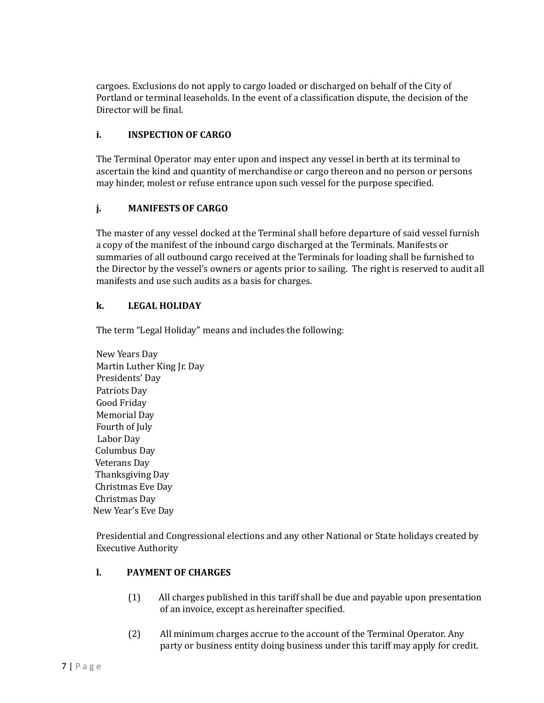cargoes. Exclusions do not apply to cargo loaded or discharged on behalf of the City of Portland or terminal leaseholds. In the event of a classification dispute, the decision of the Director will be final.

#### **i. INSPECTION OF CARGO**

The Terminal Operator may enter upon and inspect any vessel in berth at its terminal to ascertain the kind and quantity of merchandise or cargo thereon and no person or persons may hinder, molest or refuse entrance upon such vessel for the purpose speciied.

#### **j. MANIFESTS OF CARGO**

The master of any vessel docked at the Terminal shall before departure of said vessel furnish a copy of the manifest of the inbound cargo discharged at the Terminals. Manifests or summaries of all outbound cargo received at the Terminals for loading shall be furnished to the Director by the vessel's owners or agents prior to sailing. The right is reserved to audit all manifests and use such audits as a basis for charges.

#### **k. LEGAL HOLIDAY**

The term "Legal Holiday" means and includes the following:

New Years Day Martin Luther King Jr. Day Presidents' Day Patriots Day Good Friday Memorial Day Fourth of July Labor Day Columbus Day Veterans Day Thanksgiving Day Christmas Eve Day Christmas Day New Year's Eve Day

Presidential and Congressional elections and any other National or State holidays created by Executive Authority

#### **l. PAYMENT OF CHARGES**

- (1) All charges published in this tariff shall be due and payable upon presentation of an invoice, except as hereinafter specified.
- (2) All minimum charges accrue to the account of the Terminal Operator. Any party or business entity doing business under this tariff may apply for credit.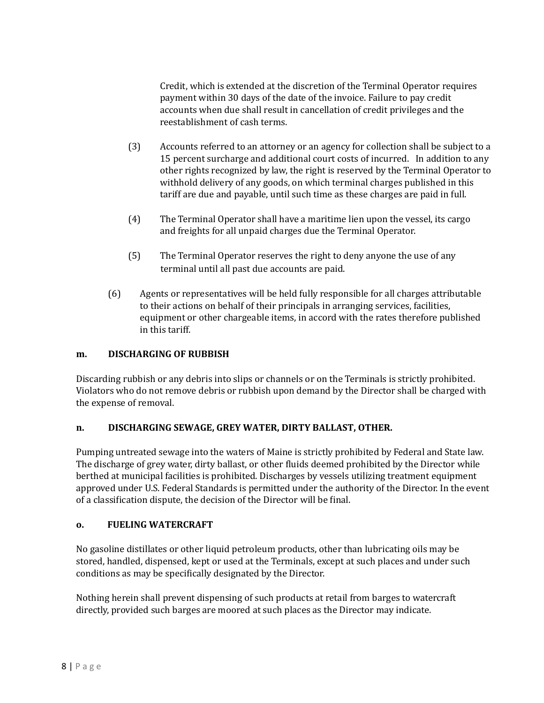Credit, which is extended at the discretion of the Terminal Operator requires payment within 30 days of the date of the invoice. Failure to pay credit accounts when due shall result in cancellation of credit privileges and the reestablishment of cash terms.

- (3) Accounts referred to an attorney or an agency for collection shall be subject to a 15 percent surcharge and additional court costs of incurred. In addition to any other rights recognized by law, the right is reserved by the Terminal Operator to withhold delivery of any goods, on which terminal charges published in this tariff are due and payable, until such time as these charges are paid in full.
- (4) The Terminal Operator shall have a maritime lien upon the vessel, its cargo and freights for all unpaid charges due the Terminal Operator.
- (5) The Terminal Operator reserves the right to deny anyone the use of any terminal until all past due accounts are paid.
- (6) Agents or representatives will be held fully responsible for all charges attributable to their actions on behalf of their principals in arranging services, facilities, equipment or other chargeable items, in accord with the rates therefore published in this tariff.

#### **m. DISCHARGING OF RUBBISH**

Discarding rubbish or any debris into slips or channels or on the Terminals is strictly prohibited. Violators who do not remove debris or rubbish upon demand by the Director shall be charged with the expense of removal.

#### **n. DISCHARGING SEWAGE, GREY WATER, DIRTY BALLAST, OTHER.**

Pumping untreated sewage into the waters of Maine is strictly prohibited by Federal and State law. The discharge of grey water, dirty ballast, or other fluids deemed prohibited by the Director while berthed at municipal facilities is prohibited. Discharges by vessels utilizing treatment equipment approved under U.S. Federal Standards is permitted under the authority of the Director. In the event of a classification dispute, the decision of the Director will be final.

#### **o. FUELING WATERCRAFT**

No gasoline distillates or other liquid petroleum products, other than lubricating oils may be stored, handled, dispensed, kept or used at the Terminals, except at such places and under such conditions as may be specifically designated by the Director.

Nothing herein shall prevent dispensing of such products at retail from barges to watercraft directly, provided such barges are moored at such places as the Director may indicate.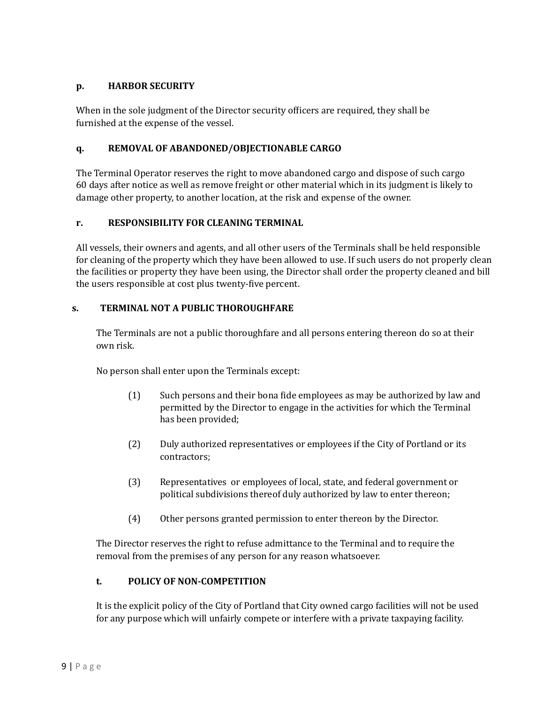#### **p. HARBOR SECURITY**

When in the sole judgment of the Director security oficers are required, they shall be furnished at the expense of the vessel.

#### **q. REMOVAL OF ABANDONED/OBJECTIONABLE CARGO**

The Terminal Operator reserves the right to move abandoned cargo and dispose of such cargo 60 days after notice as well as remove freight or other material which in its judgment is likely to damage other property, to another location, at the risk and expense of the owner.

#### **r. RESPONSIBILITY FOR CLEANING TERMINAL**

All vessels, their owners and agents, and all other users of the Terminals shall be held responsible for cleaning of the property which they have been allowed to use. If such users do not properly clean the facilities or property they have been using, the Director shall order the property cleaned and bill the users responsible at cost plus twenty-ive percent.

#### **s. TERMINAL NOT A PUBLIC THOROUGHFARE**

The Terminals are not a public thoroughfare and all persons entering thereon do so at their own risk.

No person shall enter upon the Terminals except:

- (1) Such persons and their bona ide employees as may be authorized by law and permitted by the Director to engage in the activities for which the Terminal has been provided;
- (2) Duly authorized representatives or employees if the City of Portland or its contractors;
- (3) Representatives or employees of local, state, and federal government or political subdivisions thereof duly authorized by law to enter thereon;
- (4) Other persons granted permission to enter thereon by the Director.

The Director reserves the right to refuse admittance to the Terminal and to require the removal from the premises of any person for any reason whatsoever.

#### **t. POLICY OF NON-COMPETITION**

It is the explicit policy of the City of Portland that City owned cargo facilities will not be used for any purpose which will unfairly compete or interfere with a private taxpaying facility.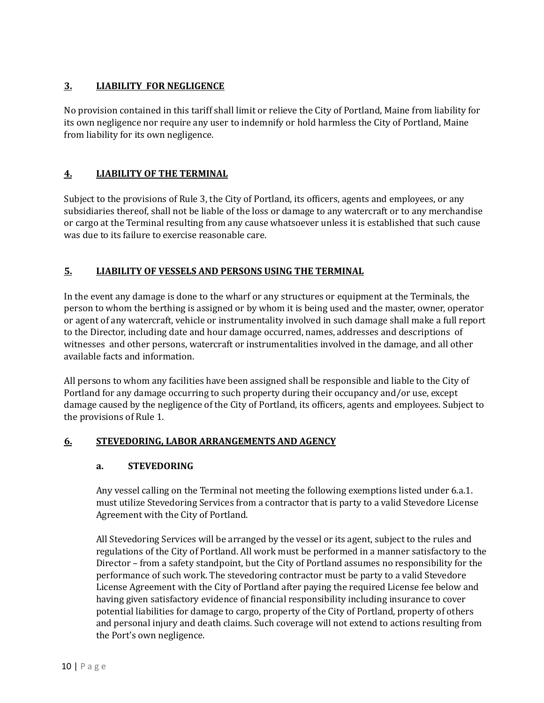## **3. LIABILITY FOR NEGLIGENCE**

No provision contained in this tariff shall limit or relieve the City of Portland, Maine from liability for its own negligence nor require any user to indemnify or hold harmless the City of Portland, Maine from liability for its own negligence.

## **4. LIABILITY OF THE TERMINAL**

Subject to the provisions of Rule 3, the City of Portland, its oficers, agents and employees, or any subsidiaries thereof, shall not be liable of the loss or damage to any watercraft or to any merchandise or cargo at the Terminal resulting from any cause whatsoever unless it is established that such cause was due to its failure to exercise reasonable care.

## **5. LIABILITY OF VESSELS AND PERSONS USING THE TERMINAL**

In the event any damage is done to the wharf or any structures or equipment at the Terminals, the person to whom the berthing is assigned or by whom it is being used and the master, owner, operator or agent of any watercraft, vehicle or instrumentality involved in such damage shall make a full report to the Director, including date and hour damage occurred, names, addresses and descriptions of witnesses and other persons, watercraft or instrumentalities involved in the damage, and all other available facts and information.

All persons to whom any facilities have been assigned shall be responsible and liable to the City of Portland for any damage occurring to such property during their occupancy and/or use, except damage caused by the negligence of the City of Portland, its oficers, agents and employees. Subject to the provisions of Rule 1.

## **6. STEVEDORING, LABOR ARRANGEMENTS AND AGENCY**

## **a. STEVEDORING**

Any vessel calling on the Terminal not meeting the following exemptions listed under 6.a.1. must utilize Stevedoring Services from a contractor that is party to a valid Stevedore License Agreement with the City of Portland.

All Stevedoring Services will be arranged by the vessel or its agent, subject to the rules and regulations of the City of Portland. All work must be performed in a manner satisfactory to the Director – from a safety standpoint, but the City of Portland assumes no responsibility for the performance of such work. The stevedoring contractor must be party to a valid Stevedore License Agreement with the City of Portland after paying the required License fee below and having given satisfactory evidence of inancial responsibility including insurance to cover potential liabilities for damage to cargo, property of the City of Portland, property of others and personal injury and death claims. Such coverage will not extend to actions resulting from the Port's own negligence.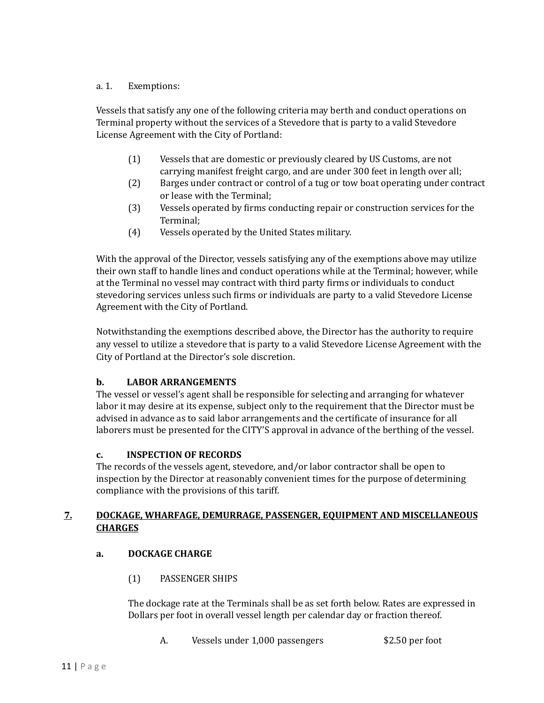#### a. 1. Exemptions:

Vessels that satisfy any one of the following criteria may berth and conduct operations on Terminal property without the services of a Stevedore that is party to a valid Stevedore License Agreement with the City of Portland:

- (1) Vessels that are domestic or previously cleared by US Customs, are not carrying manifest freight cargo, and are under 300 feet in length over all;
- (2) Barges under contract or control of a tug or tow boat operating under contract or lease with the Terminal;
- (3) Vessels operated by irms conducting repair or construction services for the Terminal;
- (4) Vessels operated by the United States military.

With the approval of the Director, vessels satisfying any of the exemptions above may utilize their own staff to handle lines and conduct operations while at the Terminal; however, while at the Terminal no vessel may contract with third party irms or individuals to conduct stevedoring services unless such irms or individuals are party to a valid Stevedore License Agreement with the City of Portland.

Notwithstanding the exemptions described above, the Director has the authority to require any vessel to utilize a stevedore that is party to a valid Stevedore License Agreement with the City of Portland at the Director's sole discretion.

## **b. LABOR ARRANGEMENTS**

The vessel or vessel's agent shall be responsible for selecting and arranging for whatever labor it may desire at its expense, subject only to the requirement that the Director must be advised in advance as to said labor arrangements and the certificate of insurance for all laborers must be presented for the CITY'S approval in advance of the berthing of the vessel.

## **c. INSPECTION OF RECORDS**

The records of the vessels agent, stevedore, and/or labor contractor shall be open to inspection by the Director at reasonably convenient times for the purpose of determining compliance with the provisions of this tariff.

#### **7. DOCKAGE, WHARFAGE, DEMURRAGE, PASSENGER, EQUIPMENT AND MISCELLANEOUS CHARGES**

## **a. DOCKAGE CHARGE**

(1) PASSENGER SHIPS

The dockage rate at the Terminals shall be as set forth below. Rates are expressed in Dollars per foot in overall vessel length per calendar day or fraction thereof.

A. Vessels under 1,000 passengers \$2.50 per foot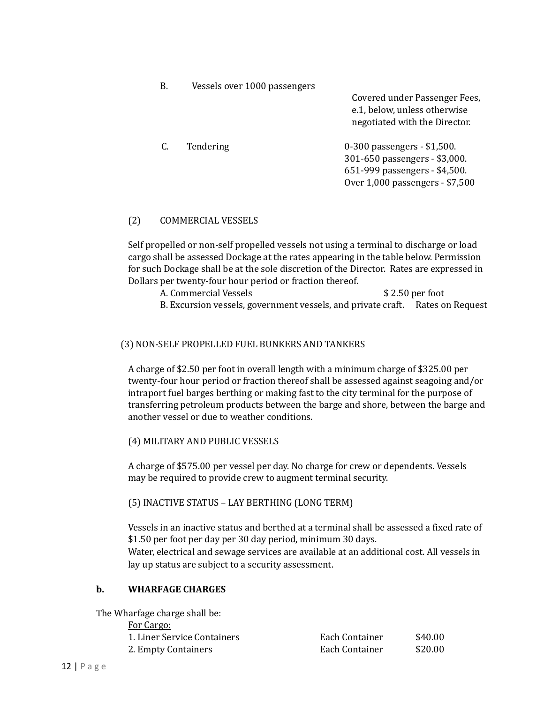| B. | Vessels over 1000 passengers |                                                                                                                                  |
|----|------------------------------|----------------------------------------------------------------------------------------------------------------------------------|
|    |                              | Covered under Passenger Fees,<br>e.1, below, unless otherwise<br>negotiated with the Director.                                   |
| C. | Tendering                    | 0-300 passengers - \$1,500.<br>301-650 passengers - \$3,000.<br>651-999 passengers - \$4,500.<br>Over 1,000 passengers - \$7,500 |

#### (2) COMMERCIAL VESSELS

Self propelled or non-self propelled vessels not using a terminal to discharge or load cargo shall be assessed Dockage at the rates appearing in the table below. Permission for such Dockage shall be at the sole discretion of the Director. Rates are expressed in Dollars per twenty-four hour period or fraction thereof.

| A. Commercial Vessels                                                          | $$2.50$ per foot |  |
|--------------------------------------------------------------------------------|------------------|--|
| B. Excursion vessels, government vessels, and private craft.  Rates on Request |                  |  |

#### (3) NON-SELF PROPELLED FUEL BUNKERS AND TANKERS

A charge of \$2.50 per foot in overall length with a minimum charge of \$325.00 per twenty-four hour period or fraction thereof shall be assessed against seagoing and/or intraport fuel barges berthing or making fast to the city terminal for the purpose of transferring petroleum products between the barge and shore, between the barge and another vessel or due to weather conditions.

(4) MILITARY AND PUBLIC VESSELS

A charge of \$575.00 per vessel per day. No charge for crew or dependents. Vessels may be required to provide crew to augment terminal security.

(5) INACTIVE STATUS – LAY BERTHING (LONG TERM)

Vessels in an inactive status and berthed at a terminal shall be assessed a fixed rate of \$1.50 per foot per day per 30 day period, minimum 30 days.

Water, electrical and sewage services are available at an additional cost. All vessels in lay up status are subject to a security assessment.

#### **b. WHARFAGE CHARGES**

The Wharfage charge shall be: For Cargo: 1. Liner Service Containers Each Container \$40.00 2. Empty Containers **Each Container** \$20.00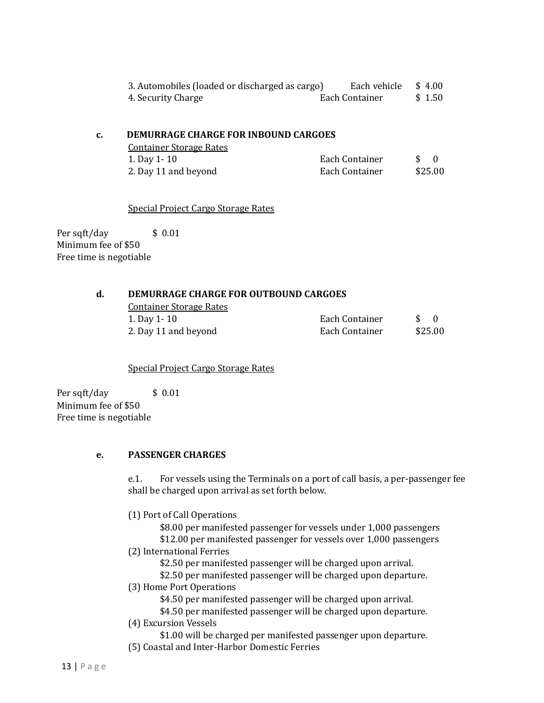| 3. Automobiles (loaded or discharged as cargo) | Each vehicle \$4.00 |        |
|------------------------------------------------|---------------------|--------|
| 4. Security Charge                             | Each Container      | \$1.50 |

#### **c. DEMURRAGE CHARGE FOR INBOUND CARGOES**

| <b>Container Storage Rates</b> |                |         |     |
|--------------------------------|----------------|---------|-----|
| 1. Day 1 - 10                  | Each Container |         | - 0 |
| 2. Day 11 and beyond           | Each Container | \$25.00 |     |

Special Project Cargo Storage Rates

Per sqft/day \$ 0.01 Minimum fee of \$50 Free time is negotiable

#### **d. DEMURRAGE CHARGE FOR OUTBOUND CARGOES**

Container Storage Rates 1. Day 1- 10 Each Container  $\bf{E}$ 2. Day 11 and beyond  $E_1$ 

| 'ach Container | $\Omega$ |
|----------------|----------|
| 'ach Container | \$25.00  |

Special Project Cargo Storage Rates

Per sqft/day \$ 0.01 Minimum fee of \$50 Free time is negotiable

#### **e. PASSENGER CHARGES**

e.1. For vessels using the Terminals on a port of call basis, a per-passenger fee shall be charged upon arrival as set forth below.

(1) Port of Call Operations

\$8.00 per manifested passenger for vessels under 1,000 passengers \$12.00 per manifested passenger for vessels over 1,000 passengers

(2) International Ferries

\$2.50 per manifested passenger will be charged upon arrival.

\$2.50 per manifested passenger will be charged upon departure.

(3) Home Port Operations

\$4.50 per manifested passenger will be charged upon arrival.

\$4.50 per manifested passenger will be charged upon departure.

(4) Excursion Vessels

\$1.00 will be charged per manifested passenger upon departure.

(5) Coastal and Inter-Harbor Domestic Ferries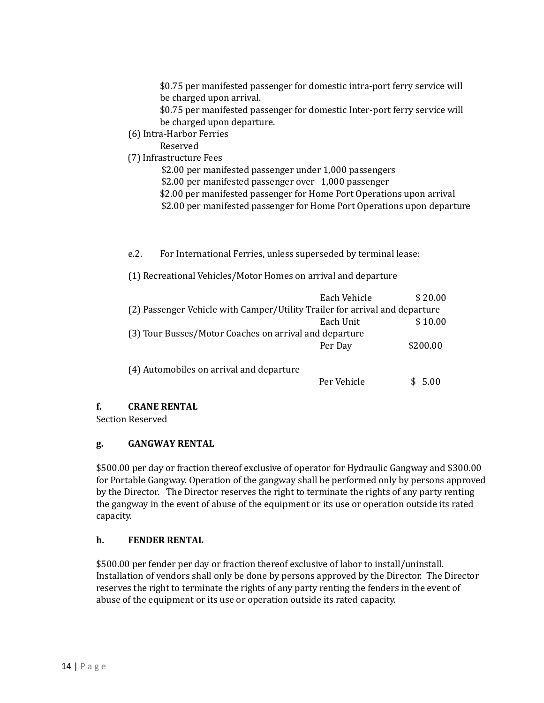\$0.75 per manifested passenger for domestic intra-port ferry service will be charged upon arrival.

\$0.75 per manifested passenger for domestic Inter-port ferry service will be charged upon departure.

(6) Intra-Harbor Ferries

Reserved

- (7) Infrastructure Fees
	- \$2.00 per manifested passenger under 1,000 passengers \$2.00 per manifested passenger over 1,000 passenger \$2.00 per manifested passenger for Home Port Operations upon arrival \$2.00 per manifested passenger for Home Port Operations upon departure

e.2. For International Ferries, unless superseded by terminal lease:

(1) Recreational Vehicles/Motor Homes on arrival and departure

|                                                                             | Each Vehicle | \$20.00  |  |
|-----------------------------------------------------------------------------|--------------|----------|--|
| (2) Passenger Vehicle with Camper/Utility Trailer for arrival and departure |              |          |  |
|                                                                             | Each Unit    | \$10.00  |  |
| (3) Tour Busses/Motor Coaches on arrival and departure                      |              |          |  |
|                                                                             | Per Day      | \$200.00 |  |
| (4) Automobiles on arrival and departure                                    |              |          |  |
|                                                                             | Per Vehicle  | 5.00     |  |

## **f. CRANE RENTAL**

Section Reserved

#### **g. GANGWAY RENTAL**

\$500.00 per day or fraction thereof exclusive of operator for Hydraulic Gangway and \$300.00 for Portable Gangway. Operation of the gangway shall be performed only by persons approved by the Director. The Director reserves the right to terminate the rights of any party renting the gangway in the event of abuse of the equipment or its use or operation outside its rated capacity.

## **h. FENDER RENTAL**

\$500.00 per fender per day or fraction thereof exclusive of labor to install/uninstall. Installation of vendors shall only be done by persons approved by the Director. The Director reserves the right to terminate the rights of any party renting the fenders in the event of abuse of the equipment or its use or operation outside its rated capacity.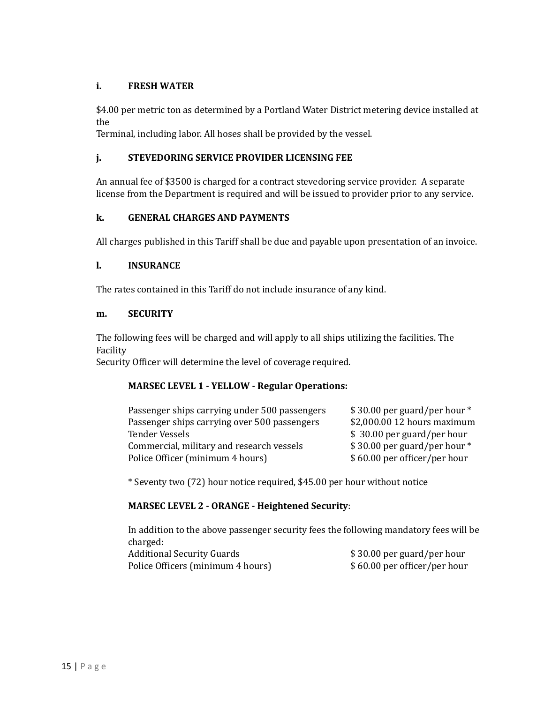#### **i. FRESH WATER**

\$4.00 per metric ton as determined by a Portland Water District metering device installed at the

Terminal, including labor. All hoses shall be provided by the vessel.

#### **j. STEVEDORING SERVICE PROVIDER LICENSING FEE**

An annual fee of \$3500 is charged for a contract stevedoring service provider. A separate license from the Department is required and will be issued to provider prior to any service.

#### **k. GENERAL CHARGES AND PAYMENTS**

All charges published in this Tariff shall be due and payable upon presentation of an invoice.

#### **l. INSURANCE**

The rates contained in this Tariff do not include insurance of any kind.

#### **m. SECURITY**

The following fees will be charged and will apply to all ships utilizing the facilities. The Facility

Security Oficer will determine the level of coverage required.

#### **MARSEC LEVEL 1 - YELLOW - Regular Operations:**

| Passenger ships carrying under 500 passengers | \$30.00 per guard/per hour * |
|-----------------------------------------------|------------------------------|
| Passenger ships carrying over 500 passengers  | \$2,000.00 12 hours maximum  |
| Tender Vessels                                | \$30.00 per guard/per hour   |
| Commercial, military and research vessels     | \$30.00 per guard/per hour * |
| Police Officer (minimum 4 hours)              | \$60.00 per officer/per hour |

\* Seventy two (72) hour notice required, \$45.00 per hour without notice

#### **MARSEC LEVEL 2 - ORANGE - Heightened Security**:

In addition to the above passenger security fees the following mandatory fees will be charged:<br>Addition Additional Security Guards **\$** 30.00 per guard/per hour

| Additional Security Guards        | \$30.00 per guard/per hour   |
|-----------------------------------|------------------------------|
| Police Officers (minimum 4 hours) | \$60.00 per officer/per hour |